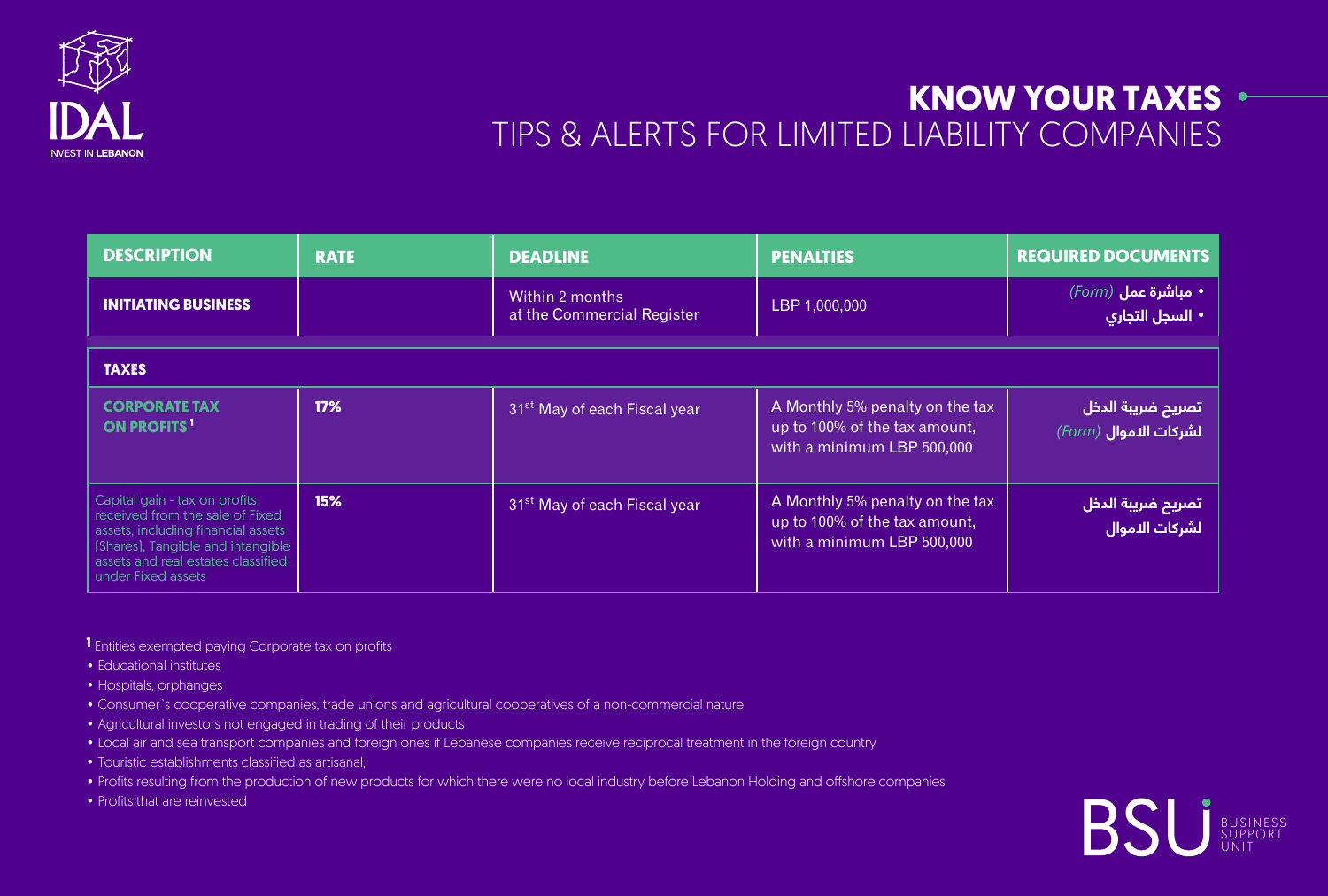

## **KNOW YOUR TAXES \*** TIPS & ALERTS FOR LIMITED LIABILITY COMPANIES

| <b>DESCRIPTION</b>                                                                                                                                                                                      | <b>RATE</b> | <b>DEADLINE</b>                               | <b>PENALTIES</b>                                                                               | <b>REQUIRED DOCUMENTS</b>                               |
|---------------------------------------------------------------------------------------------------------------------------------------------------------------------------------------------------------|-------------|-----------------------------------------------|------------------------------------------------------------------------------------------------|---------------------------------------------------------|
| <b>INITIATING BUSINESS</b>                                                                                                                                                                              |             | Within 2 months<br>at the Commercial Register | LBP 1,000,000                                                                                  | $F\sim F\sim F$ مباشرة عمل $\bullet$<br>• السجل التجاري |
| <b>TAXES</b>                                                                                                                                                                                            |             |                                               |                                                                                                |                                                         |
| <b>CORPORATE TAX</b><br>ON PROFITS <sup>1</sup>                                                                                                                                                         | 17%         | 31 <sup>st</sup> May of each Fiscal year      | A Monthly 5% penalty on the tax<br>up to 100% of the tax amount,<br>with a minimum LBP 500,000 | تصريح ضريبة الدخل<br>$(Form)$ لشركات الاموال            |
| Capital gain - tax on profits<br>received from the sale of Fixed<br>assets, including financial assets<br>(Shares), Tangible and intangible<br>assets and real estates classified<br>under Fixed assets | 15%         | 31 <sup>st</sup> May of each Fiscal year      | A Monthly 5% penalty on the tax<br>up to 100% of the tax amount,<br>with a minimum LBP 500,000 | تصريح ضريبة الدخل<br>لشركات الاموال                     |

**1** Entities exempted paying Corporate tax on profits

- Educational institutes
- Hospitals, orphanges
- Consumer`s cooperative companies, trade unions and agricultural cooperatives of a non-commercial nature
- Agricultural investors not engaged in trading of their products
- Local air and sea transport companies and foreign ones if Lebanese companies receive reciprocal treatment in the foreign country
- Touristic establishments classified as artisanal;
- Profits resulting from the production of new products for which there were no local industry before Lebanon Holding and offshore companies
- Profits that are reinvested

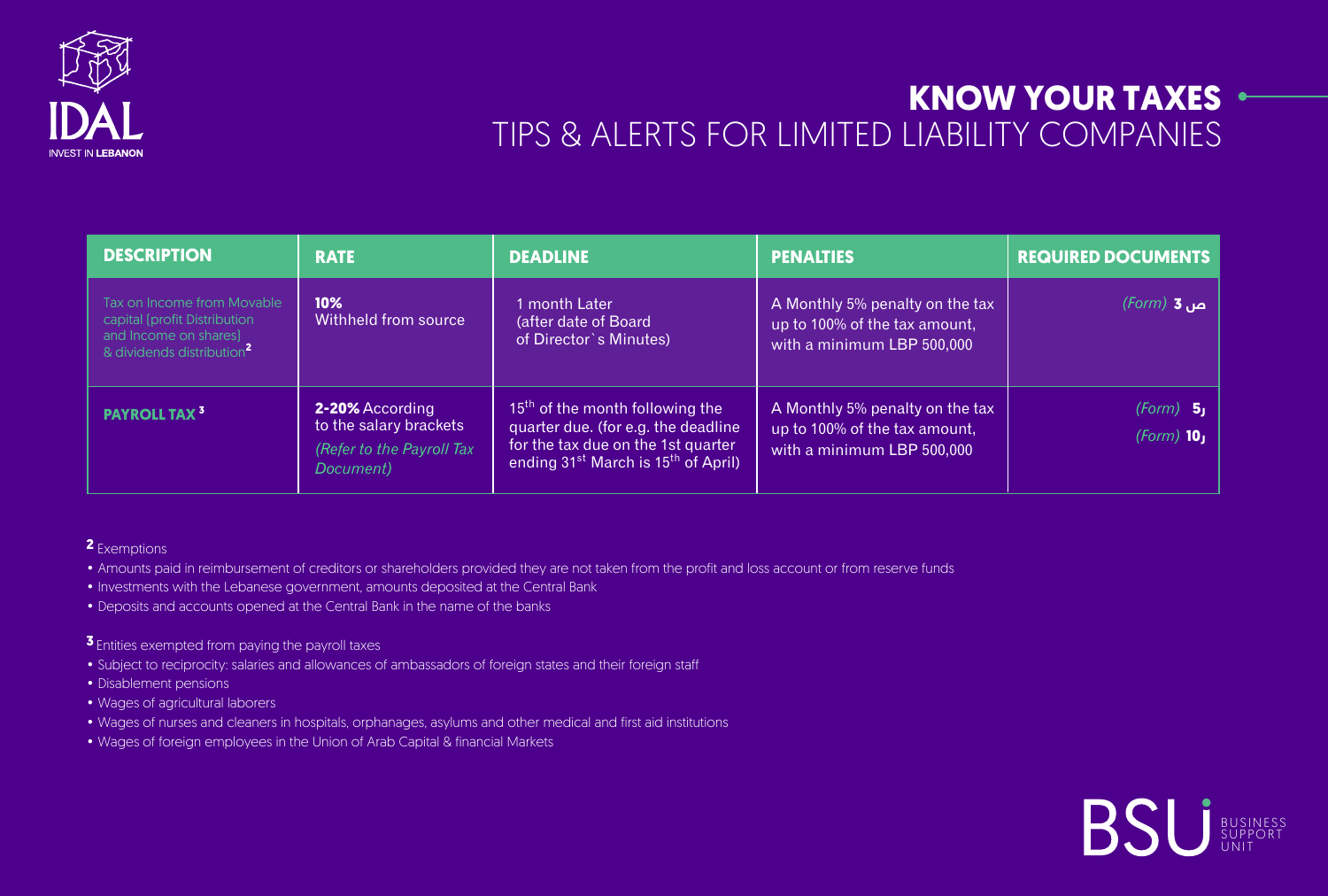

## **KNOW YOUR TAXES** TIPS & ALERTS FOR LIMITED LIABILITY COMPANIES

| <b>DESCRIPTION</b>                                                                                                           | <b>RATE</b>                                                                         | <b>DEADLINE</b>                                                                                                                                                                         | <b>PENALTIES</b>                                                                               | <b>REQUIRED DOCUMENTS</b>              |
|------------------------------------------------------------------------------------------------------------------------------|-------------------------------------------------------------------------------------|-----------------------------------------------------------------------------------------------------------------------------------------------------------------------------------------|------------------------------------------------------------------------------------------------|----------------------------------------|
| Tax on Income from Movable<br>capital (profit Distribution<br>and Income on shares)<br>& dividends distribution <sup>2</sup> | 10%<br>Withheld from source                                                         | 1 month Later<br>(after date of Board<br>of Director's Minutes)                                                                                                                         | A Monthly 5% penalty on the tax<br>up to 100% of the tax amount,<br>with a minimum LBP 500,000 | ( <i>Form</i> ) <b>3</b> ص             |
| <b>PAYROLL TAX<sup>3</sup></b>                                                                                               | 2-20% According<br>to the salary brackets<br>(Refer to the Payroll Tax<br>Document) | 15 <sup>th</sup> of the month following the<br>quarter due. (for e.g. the deadline<br>for the tax due on the 1st quarter<br>ending 31 <sup>st</sup> March is 15 <sup>th</sup> of April) | A Monthly 5% penalty on the tax<br>up to 100% of the tax amount,<br>with a minimum LBP 500,000 | $(Form)$ 5<br>$(Form)$ 10 <sub>J</sub> |

#### **2** Exemptions

- Amounts paid in reimbursement of creditors or shareholders provided they are not taken from the profit and loss account or from reserve funds
- Investments with the Lebanese government, amounts deposited at the Central Bank
- Deposits and accounts opened at the Central Bank in the name of the banks

#### **3** Entities exempted from paying the payroll taxes

- Subject to reciprocity: salaries and allowances of ambassadors of foreign states and their foreign staff
- Disablement pensions
- Wages of agricultural laborers
- Wages of nurses and cleaners in hospitals, orphanages, asylums and other medical and first aid institutions
- Wages of foreign employees in the Union of Arab Capital & financial Markets

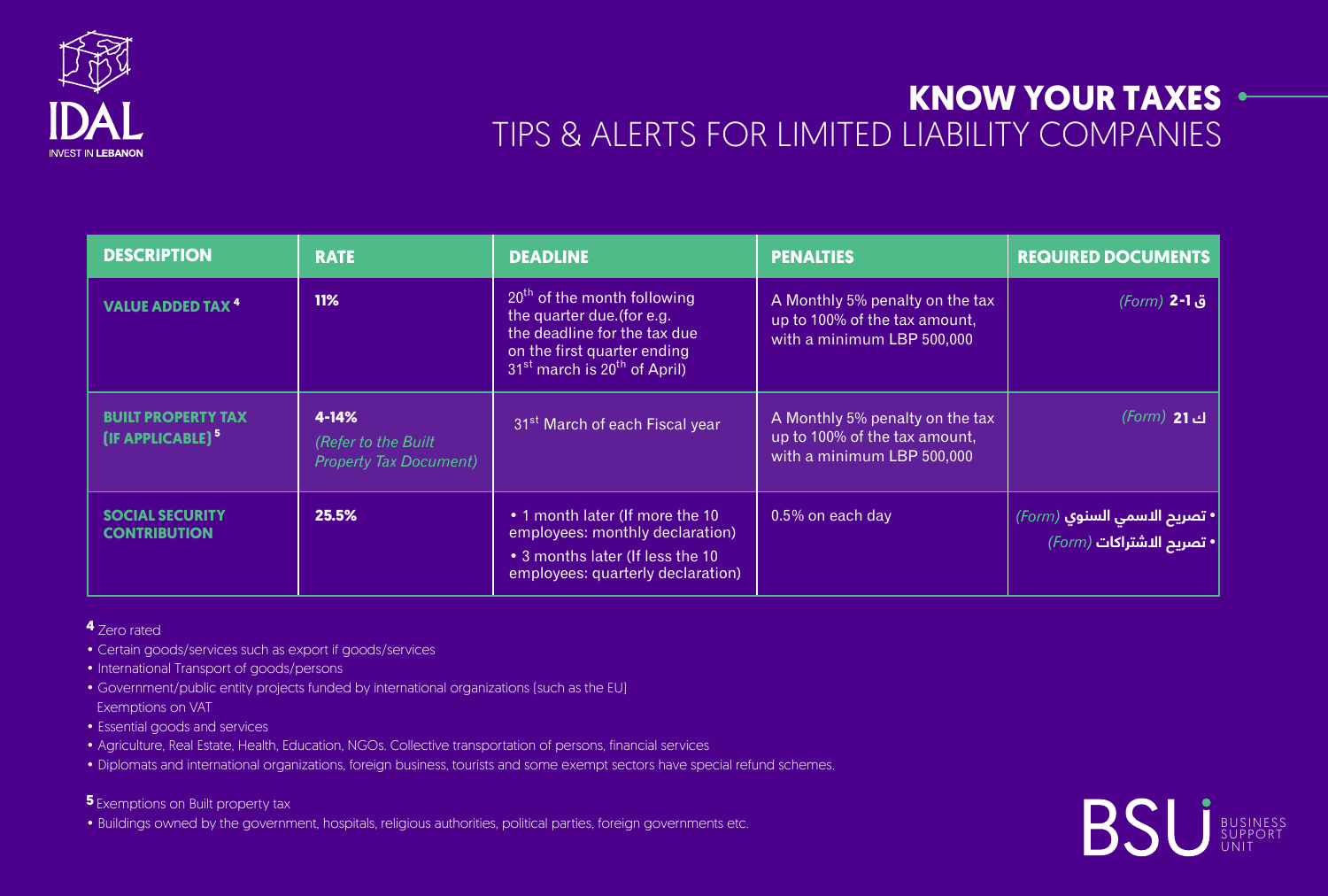

## **KNOW YOUR TAXES -**TIPS & ALERTS FOR LIMITED LIABILITY COMPANIES

| <b>DESCRIPTION</b>                                        | <b>RATE</b>                                                   | <b>DEADLINE</b>                                                                                                                                                                              | <b>PENALTIES</b>                                                                               | <b>REQUIRED DOCUMENTS</b>                                 |
|-----------------------------------------------------------|---------------------------------------------------------------|----------------------------------------------------------------------------------------------------------------------------------------------------------------------------------------------|------------------------------------------------------------------------------------------------|-----------------------------------------------------------|
| <b>VALUE ADDED TAX<sup>4</sup></b>                        | 11%                                                           | 20 <sup>th</sup> of the month following<br>the quarter due. (for e.g.<br>the deadline for the tax due<br>on the first quarter ending<br>31 <sup>st</sup> march is 20 <sup>th</sup> of April) | A Monthly 5% penalty on the tax<br>up to 100% of the tax amount,<br>with a minimum LBP 500,000 | ق Form) <b>2-1</b>                                        |
| <b>BUILT PROPERTY TAX</b><br>[IF APPLICABLE] <sup>5</sup> | 4-14%<br>(Refer to the Built<br><b>Property Tax Document)</b> | 31 <sup>st</sup> March of each Fiscal year                                                                                                                                                   | A Monthly 5% penalty on the tax<br>up to 100% of the tax amount,<br>with a minimum LBP 500,000 | ك <b>21 (Form)</b>                                        |
| <b>SOCIAL SECURITY</b><br><b>CONTRIBUTION</b>             | 25.5%                                                         | • 1 month later (If more the 10<br>employees: monthly declaration)<br>• 3 months later (If less the 10<br>employees: quarterly declaration)                                                  | 0.5% on each day                                                                               | • تصريح الاسمي السنوي (Form)<br>• تصريح الاشتراكات (Form) |

#### **4** Zero rated

- Certain goods/services such as export if goods/services
- International Transport of goods/persons
- Government/public entity projects funded by international organizations (such as the EU) Exemptions on VAT
- Essential goods and services
- Agriculture, Real Estate, Health, Education, NGOs. Collective transportation of persons, financial services
- Diplomats and international organizations, foreign business, tourists and some exempt sectors have special refund schemes.

**5** Exemptions on Built property tax

• Buildings owned by the government, hospitals, religious authorities, political parties, foreign governments etc.

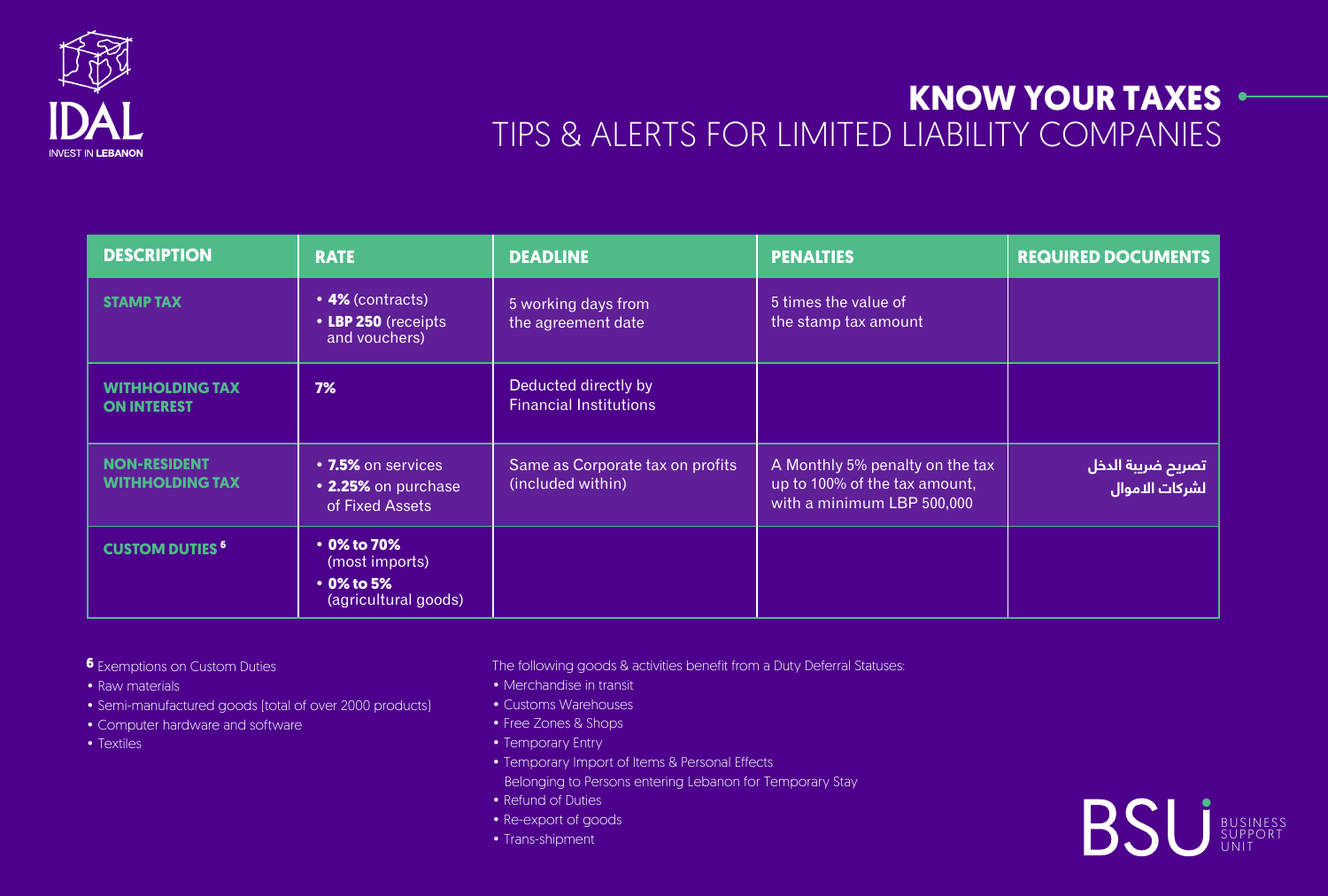

## **AL EXAMPLE AND SERVICE SERVICE SERVICE SERVICE SERVICE SERVICE SERVICE SERVICE SERVICE SERVICE SERVICE SERVICE**<br>TIPS & ALERTS FOR LIMITED LIABILITY COMPANIES

| <b>DESCRIPTION</b>                            | <b>RATE</b>                                                                     | <b>DEADLINE</b>                                       | <b>PENALTIES</b>                                                                               | <b>REQUIRED DOCUMENTS</b>           |
|-----------------------------------------------|---------------------------------------------------------------------------------|-------------------------------------------------------|------------------------------------------------------------------------------------------------|-------------------------------------|
| <b>STAMP TAX</b>                              | • 4% (contracts)<br>• LBP 250 (receipts<br>and vouchers)                        | 5 working days from<br>the agreement date             | 5 times the value of<br>the stamp tax amount                                                   |                                     |
| <b>WITHHOLDING TAX</b><br><b>ON INTEREST</b>  | 7%                                                                              | Deducted directly by<br><b>Financial Institutions</b> |                                                                                                |                                     |
| <b>NON-RESIDENT</b><br><b>WITHHOLDING TAX</b> | • 7.5% on services<br>• 2.25% on purchase<br>of Fixed Assets                    | Same as Corporate tax on profits<br>(included within) | A Monthly 5% penalty on the tax<br>up to 100% of the tax amount,<br>with a minimum LBP 500,000 | تصريح ضريبة الدخل<br>لشركات الاموال |
| <b>CUSTOM DUTIES<sup>6</sup></b>              | $\cdot$ 0% to 70%<br>(most imports)<br>$\cdot$ 0% to 5%<br>(agricultural goods) |                                                       |                                                                                                |                                     |

**6** Exemptions on Custom Duties

• Raw materials

- Semi-manufactured goods (total of over 2000 products)
- Computer hardware and software

• Textiles

The following goods & activities benefit from a Duty Deferral Statuses:

- Merchandise in transit
- Customs Warehouses
- Free Zones & Shops
- Temporary Entry
- Temporary Import of Items & Personal Effects
- Belonging to Persons entering Lebanon for Temporary Stay
- Refund of Duties
- Re-export of goods
- Trans-shipment